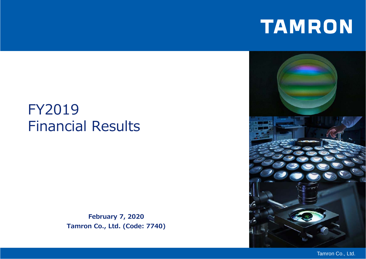# TAMRON

# FY2019 Financial Results

**February 7, 2020 Tamron Co., Ltd. (Code: 7740)**



Tamron Co., Ltd.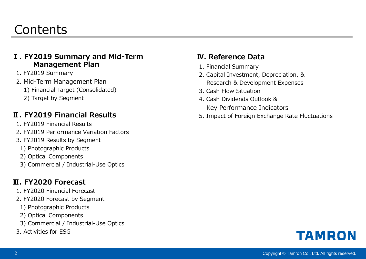#### **Contents**

#### **Ⅰ. FY2019 Summary and Mid-Term Management Plan**

- 1. FY2019 Summary
- 2. Mid-Term Management Plan
	- 1) Financial Target (Consolidated)
	- 2) Target by Segment

#### **Ⅱ. FY2019 Financial Results**

- 1. FY2019 Financial Results
- 2. FY2019 Performance Variation Factors
- 3. FY2019 Results by Segment
	- 1) Photographic Products
	- 2) Optical Components
	- 3) Commercial / Industrial-Use Optics

#### **Ⅲ. FY2020 Forecast**

- 1. FY2020 Financial Forecast
- 2. FY2020 Forecast by Segment
	- 1) Photographic Products
- 2) Optical Components
- 3) Commercial / Industrial-Use Optics
- 3. Activities for ESG

#### **Ⅳ. Reference Data**

- 1. Financial Summary
- 2. Capital Investment, Depreciation, & Research & Development Expenses
- 3. Cash Flow Situation
- 4. Cash Dividends Outlook & Key Performance Indicators
- 5. Impact of Foreign Exchange Rate Fluctuations

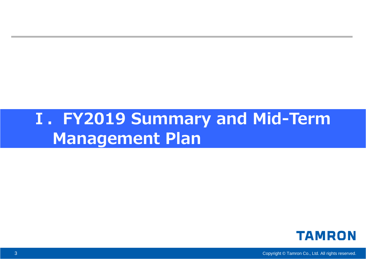# **Ⅰ.FY2019 Summary and Mid-Term Management Plan**



Copyright © Tamron Co., Ltd. All rights reserved.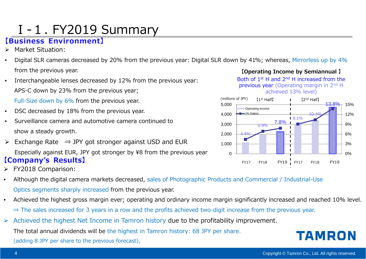# Ⅰ-1. FY2019 Summary

#### **【Business Environment】**

- $\blacktriangleright$ Market Situation:
- • Digital SLR cameras decreased by 20% from the previous year: Digital SLR down by 41%; whereas, Mirrorless up by 4% from the previous year.
- • Interchangeable lenses decreased by 12% from the previous year: APS-C down by 23% from the previous year;

Full-Size down by 6% from the previous year.

- •DSC decreased by 18% from the previous year.
- • Surveillance camera and automotive camera continued toshow a steady growth.
- $\blacktriangleright$ Exchange Rate  $\Rightarrow$  JPY got stronger against USD and EUR Especially against EUR, JPY got stronger by ¥8 from the previous year **【Company's Results】**
- FY2018 Comparison:
- • Although the digital camera markets decreased, sales of Photographic Products and Commercial / Industrial-Use Optics segments sharply increased from the previous year.
- • Achieved the highest gross margin ever; operating and ordinary income margin significantly increased and reached 10% level. ⇒ The sales increased for 3 years in a row and the profits achieved two-digit increase from the previous year.
- $\triangleright$  Achieved the highest Net Income in Tamron history due to the profitability improvement. The total annual dividends will be the highest in Tamron history: 68 JPY per share. (adding 8 JPY per share to the previous forecast),

**TAMRON** 

**【Operating Income by Semiannual 】** Both of 1<sup>st</sup> H and 2<sup>nd</sup> H increased from the previous year (Operating margin in 2<sup>nd</sup> H achieved 13% level)

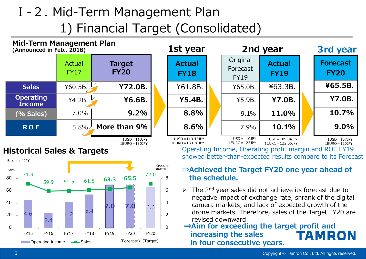### Ⅰ-2. Mid-Term Management Plan 1) Financial Target (Consolidated)



4.6 2.4  $4.2$  5.4 **7.0 7.0** 6.6 71.9 59.9 60.5 61.8 **63.3 65.5** 72.0  $\Omega$ 24680 20406080FY15 FY16 FY17 FY18 FY19 FY20 (Forecast) FY20**Conducted Sales** Conduction Conductor Conductor Conductor Conductor Conductor Conductor Conductor Conductor Conductor Conductor Conductor Conductor Conductor Conductor Conductor Conductor Conductor Conductor Conductor Con Billons of JPYSalesOperating Income

#### **⇒Achieved the Target FY20 one year ahead of the schedule.**

 $\triangleright$  The 2<sup>nd</sup> year sales did not achieve its forecast due to negative impact of exchange rate, shrank of the digital camera markets, and lack of expected growth of the drone markets. Therefore, sales of the Target FY20 are revised downward.

#### **⇒Aim for exceeding the target profit and increasing the sales**  TAMRON **in four consecutive years.**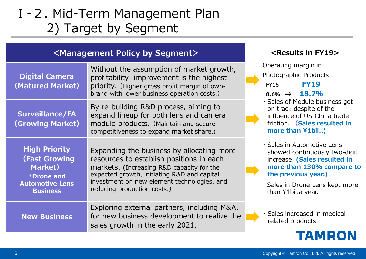# Ⅰ-2. Mid-Term Management Plan 2) Target by Segment

#### **<Management Policy by Segment>**

| <b>Digital Camera</b><br>(Matured Market)                                                                                  | Without the assumption of market growth,<br>profitability improvement is the highest<br>priority. (Higher gross profit margin of own-<br>brand with lower business operation costs.)                                                                            | Operating margin in<br>Photographic Products<br><b>FY19</b><br><b>FY16</b><br>$8.6\% \Rightarrow 18.7\%$                                                                                                 |
|----------------------------------------------------------------------------------------------------------------------------|-----------------------------------------------------------------------------------------------------------------------------------------------------------------------------------------------------------------------------------------------------------------|----------------------------------------------------------------------------------------------------------------------------------------------------------------------------------------------------------|
| <b>Surveillance/FA</b><br><b>(Growing Market)</b>                                                                          | By re-building R&D process, aiming to<br>expand lineup for both lens and camera<br>module products. (Maintain and secure<br>competitiveness to expand market share.)                                                                                            | · Sales of Module business got<br>on track despite of the<br>influence of US-China trade<br>friction. (Sales resulted in<br>more than ¥1bil)                                                             |
| <b>High Priority</b><br><b>(Fast Growing</b><br><b>Market</b> )<br>*Drone and<br><b>Automotive Lens</b><br><b>Business</b> | Expanding the business by allocating more<br>resources to establish positions in each<br>markets. (Increasing R&D capacity for the<br>expected growth, initiating R&D and capital<br>investment on new element technologies, and<br>reducing production costs.) | · Sales in Automotive Lens<br>showed continuously two-digit<br>increase. (Sales resulted in<br>more than 130% compare to<br>the previous year.)<br>· Sales in Drone Lens kept more<br>than ¥1bil.a year. |
| <b>New Business</b>                                                                                                        | Exploring external partners, including M&A,<br>for new business development to realize the<br>sales growth in the early 2021.                                                                                                                                   | · Sales increased in medical<br>related products.                                                                                                                                                        |
|                                                                                                                            |                                                                                                                                                                                                                                                                 |                                                                                                                                                                                                          |

**<Results in FY19>**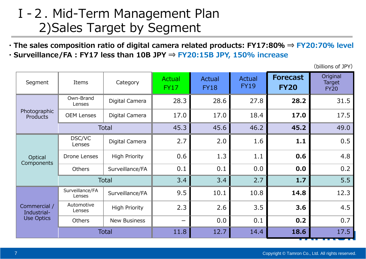### Ⅰ-2. Mid-Term Management Plan 2)Sales Target by Segment

**・The sales composition ratio of digital camera related products: FY17:80% <sup>⇒</sup> FY20:70% level ・Surveillance/FA : FY17 less than 10B JPY ⇒ FY20:15B JPY, 150% increase**

(billions of JPY)

| Segment                                          | Items                     | Category             | Actual<br><b>FY17</b> | <b>Actual</b><br><b>FY18</b> | <b>Actual</b><br><b>FY19</b> | <b>Forecast</b><br><b>FY20</b> | Original<br>Target<br><b>FY20</b> |
|--------------------------------------------------|---------------------------|----------------------|-----------------------|------------------------------|------------------------------|--------------------------------|-----------------------------------|
|                                                  | Own-Brand<br>Lenses       | Digital Camera       | 28.3                  | 28.6                         | 27.8                         | 28.2                           | 31.5                              |
| Photographic<br><b>Products</b>                  | <b>OEM Lenses</b>         | Digital Camera       | 17.0                  | 17.0                         | 18.4                         | 17.0                           | 17.5                              |
|                                                  |                           | <b>Total</b>         | 45.3                  | 45.6                         | 46.2                         | 45.2                           | 49.0                              |
|                                                  | DSC/VC<br>Lenses          | Digital Camera       | 2.7                   | 2.0                          | 1.6                          | 1.1                            | 0.5                               |
| Optical<br>Components                            | <b>Drone Lenses</b>       | <b>High Priority</b> | 0.6                   | 1.3                          | 1.1                          | 0.6                            | 4.8                               |
|                                                  | Others                    | Surveillance/FA      | 0.1                   | 0.1                          | 0.0                          | 0.0                            | 0.2                               |
|                                                  |                           | <b>Total</b>         | 3.4                   | 3.4                          | 2.7                          | 1.7                            | 5.5                               |
|                                                  | Surveillance/FA<br>Lenses | Surveillance/FA      | 9.5                   | 10.1                         | 10.8                         | 14.8                           | 12.3                              |
| Commercial /<br>Industrial-<br><b>Use Optics</b> | Automotive<br>Lenses      | <b>High Priority</b> | 2.3                   | 2.6                          | 3.5                          | 3.6                            | 4.5                               |
|                                                  | <b>Others</b>             | <b>New Business</b>  |                       | 0.0                          | 0.1                          | 0.2                            | 0.7                               |
|                                                  |                           | <b>Total</b>         | 11.8                  | 12.7                         | 14.4                         | 18.6                           | 17.5                              |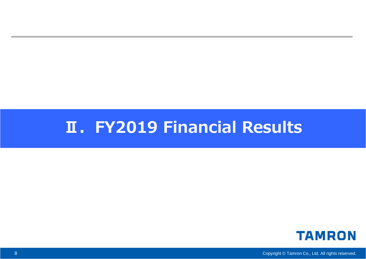# **Ⅱ.FY2019 Financial Results**



Copyright © Tamron Co., Ltd. All rights reserved.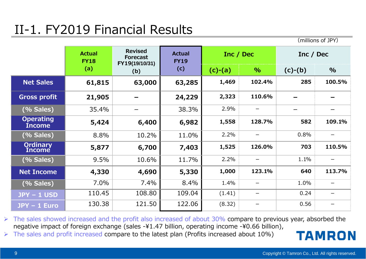# II-1. FY2019 Financial Results

(millions of JPY)

|                                   | <b>Actual</b><br><b>FY18</b> | <b>Revised</b><br><b>Forecast</b><br>FY19(19/10/31) | <b>Actual</b><br><b>FY19</b> | Inc / Dec |        | Inc / Dec |        |
|-----------------------------------|------------------------------|-----------------------------------------------------|------------------------------|-----------|--------|-----------|--------|
|                                   | (a)                          | (b)                                                 | (c)                          | $(c)-(a)$ | $\%$   | $(c)-(b)$ | $\%$   |
| <b>Net Sales</b>                  | 61,815                       | 63,000                                              | 63,285                       | 1,469     | 102.4% | 285       | 100.5% |
| <b>Gross profit</b>               | 21,905                       |                                                     | 24,229                       | 2,323     | 110.6% |           |        |
| (% Sales)                         | 35.4%                        |                                                     | 38.3%                        | 2.9%      |        |           |        |
| <b>Operating</b><br><b>Income</b> | 5,424                        | 6,400                                               | 6,982                        | 1,558     | 128.7% | 582       | 109.1% |
| (% Sales)                         | 8.8%                         | 10.2%                                               | 11.0%                        | 2.2%      | —      | 0.8%      |        |
| <b>Ordinary</b><br><b>Income</b>  | 5,877                        | 6,700                                               | 7,403                        | 1,525     | 126.0% | 703       | 110.5% |
| (% Sales)                         | 9.5%                         | 10.6%                                               | 11.7%                        | 2.2%      | —      | 1.1%      |        |
| <b>Net Income</b>                 | 4,330                        | 4,690                                               | 5,330                        | 1,000     | 123.1% | 640       | 113.7% |
| (% Sales)                         | 7.0%                         | 7.4%                                                | 8.4%                         | 1.4%      |        | 1.0%      |        |
| $JPY - 1$ USD                     | 110.45                       | 108.80                                              | 109.04                       | (1.41)    | —      | 0.24      |        |
| $JPY - 1$ Euro                    | 130.38                       | 121.50                                              | 122.06                       | (8.32)    |        | 0.56      |        |

 $\triangleright$  The sales showed increased and the profit also increased of about 30% compare to previous year, absorbed the negative impact of foreign exchange (sales -¥1.47 billion, operating income -¥0.66 billion),

 $\triangleright$  The sales and profit increased compare to the latest plan (Profits increased about 10%)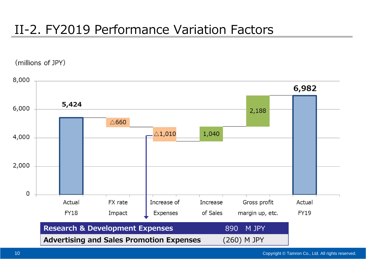## II-2. FY2019 Performance Variation Factors

(millions of JPY)

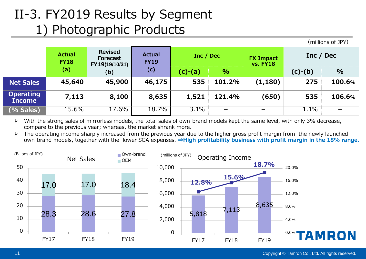# II-3. FY2019 Results by Segment 1) Photographic Products

|                                   | <b>Actual</b><br><b>FY18</b> | <b>Revised</b><br><b>Forecast</b><br>FY19(19/10/31) | <b>Actual</b><br><b>FY19</b> | Inc / Dec |                          | <b>FX Impact</b><br><b>vs. FY18</b> | Inc / Dec |           |      |
|-----------------------------------|------------------------------|-----------------------------------------------------|------------------------------|-----------|--------------------------|-------------------------------------|-----------|-----------|------|
|                                   | (a)                          | (b)                                                 |                              | (c)       | (c)-(a)                  | $\%$                                |           | $(c)-(b)$ | $\%$ |
| <b>Net Sales</b>                  | 45,640                       | 45,900                                              | 46,175                       | 535       | 101.2%                   | (1, 180)                            | 275       | 100.6%    |      |
| <b>Operating</b><br><b>Income</b> | 7,113                        | 8,100                                               | 8,635                        | 1,521     | 121.4%                   | (650)                               | 535       | 106.6%    |      |
| $(%$ Sales)                       | 15.6%                        | 17.6%                                               | 18.7%                        | 3.1%      | $\overline{\phantom{0}}$ | $\overline{\phantom{0}}$            | 1.1%      |           |      |

- $\blacktriangleright$  With the strong sales of mirrorless models, the total sales of own-brand models kept the same level, with only 3% decrease, compare to the previous year; whereas, the market shrank more.
- $\blacktriangleright$  The operating income sharply increased from the previous year due to the higher gross profit margin from the newly launched own-brand models, together with the lower SGA expenses. **⇒High profitability business with profit margin in the 18% range.**



(millions of JPY)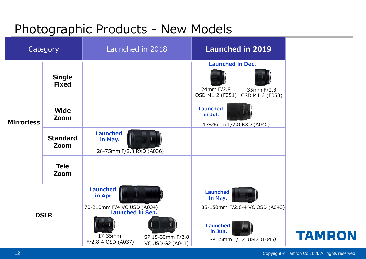#### Photographic Products - New Models

| Category          |                               | Launched in 2018                                                                    | <b>Launched in 2019</b>                                                                |
|-------------------|-------------------------------|-------------------------------------------------------------------------------------|----------------------------------------------------------------------------------------|
|                   | <b>Single</b><br><b>Fixed</b> |                                                                                     | <b>Launched in Dec.</b><br>24mm F/2.8<br>35mm F/2.8<br>OSD M1:2 (F051) OSD M1:2 (F053) |
| <b>Mirrorless</b> | Wide<br>Zoom                  |                                                                                     | <b>Launched</b><br>in Jul.<br>17-28mm F/2.8 RXD (A046)                                 |
|                   | <b>Standard</b><br>Zoom       | <b>Launched</b><br>in May.<br>28-75mm F/2.8 RXD (A036)                              |                                                                                        |
|                   | <b>Tele</b><br>Zoom           |                                                                                     |                                                                                        |
|                   |                               | <b>Launched</b><br>in Apr.<br>70-210mm F/4 VC USD (A034)<br><b>Launched in Sep.</b> | <b>Launched</b><br>in May.<br>35-150mm F/2.8-4 VC OSD (A043)                           |
| <b>DSLR</b>       |                               | 17-35mm<br>SP 15-30mm F/2.8<br>F/2.8-4 OSD (A037)<br><b>VC USD G2 (A041)</b>        | <b>Launched</b><br>in Jun.<br>SP 35mm F/1.4 USD (F045)                                 |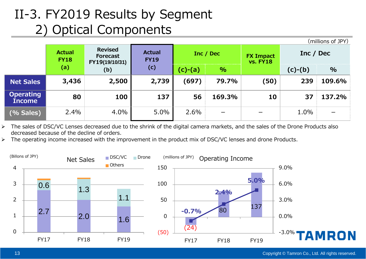# II-3. FY2019 Results by Segment 2) Optical Components

|                                   |                              |                                                     |                              |       |           |                                     |           | (millions of JPY) |
|-----------------------------------|------------------------------|-----------------------------------------------------|------------------------------|-------|-----------|-------------------------------------|-----------|-------------------|
|                                   | <b>Actual</b><br><b>FY18</b> | <b>Revised</b><br><b>Forecast</b><br>FY19(19/10/31) | <b>Actual</b><br><b>FY19</b> |       | Inc / Dec | <b>FX Impact</b><br><b>vs. FY18</b> | Inc / Dec |                   |
|                                   | (a)                          | (b)                                                 | (c)<br>$(c)-(a)$             | $\%$  |           | $(c)-(b)$                           | $\%$      |                   |
| <b>Net Sales</b>                  | 3,436                        | 2,500                                               | 2,739                        | (697) | 79.7%     | (50)                                | 239       | 109.6%            |
| <b>Operating</b><br><b>Income</b> | 80                           | <b>100</b>                                          | 137                          | 56    | 169.3%    | 10                                  | 37        | 137.2%            |
| (% Sales)                         | 2.4%                         | 4.0%                                                | 5.0%                         | 2.6%  | -         |                                     | 1.0%      |                   |

 $\blacktriangleright$  The sales of DSC/VC Lenses decreased due to the shrink of the digital camera markets, and the sales of the Drone Products also decreased because of the decline of orders.

 $\blacktriangleright$ The operating income increased with the improvement in the product mix of DSC/VC lenses and drone Products.

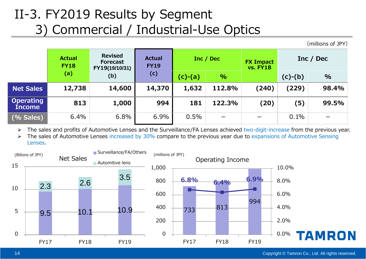## II-3. FY2019 Results by Segment 3) Commercial / Industrial-Use Optics

(millions of JPY)

|                                   | <b>Actual</b><br><b>FY18</b> | <b>Revised</b><br><b>Forecast</b><br>FY19(19/10/31) | <b>Actual</b><br><b>FY19</b> |                   | Inc / Dec | <b>FX Impact</b><br><b>vs. FY18</b> | Inc / Dec |                          |
|-----------------------------------|------------------------------|-----------------------------------------------------|------------------------------|-------------------|-----------|-------------------------------------|-----------|--------------------------|
|                                   | (a)                          | (b)                                                 | (c)                          | $(c)-(a)$<br>$\%$ |           | $(c)-(b)$                           | $\%$      |                          |
| <b>Net Sales</b>                  | 12,738                       | 14,600                                              | 14,370                       | 1,632             | 112.8%    | (240)                               | (229)     | 98.4%                    |
| <b>Operating</b><br><b>Income</b> | 813                          | 1,000                                               | 994                          | 181               | 122.3%    | (20)                                | (5)       | 99.5%                    |
| (% Sales)                         | 6.4%                         | 6.8%                                                | 6.9%                         | 0.5%              | —         |                                     | 0.1%      | $\overline{\phantom{0}}$ |

 $\blacktriangleright$ The sales and profits of Automotive Lenses and the Surveillance/FA Lenses achieved two-digit-increase from the previous year.

 $\blacktriangleright$  The sales of Automotive Lenses increased by 30% compare to the previous year due to expansions of Automotive Sensing Lenses.

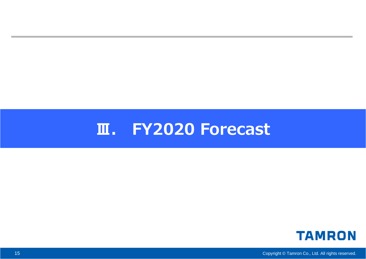# **Ⅲ. FY2020 Forecast**



Copyright © Tamron Co., Ltd. All rights reserved.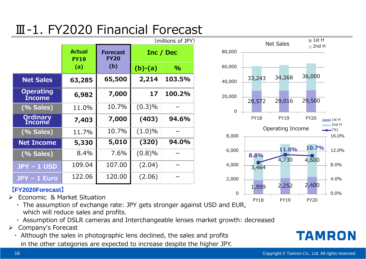# Ⅲ-1. FY2020 Financial Forecast

|                                   | (millions of JPY)            |                                |           |           |
|-----------------------------------|------------------------------|--------------------------------|-----------|-----------|
|                                   | <b>Actual</b><br><b>FY19</b> | <b>Forecast</b><br><b>FY20</b> |           | Inc / Dec |
|                                   | (a)                          | (b)                            | $(b)-(a)$ | $\%$      |
| <b>Net Sales</b>                  | 63,285                       | 65,500                         | 2,214     | 103.5%    |
| <b>Operating</b><br><b>Income</b> | 6,982                        | 7,000                          | 17        | 100.2%    |
| (% Sales)                         | 11.0%                        | 10.7%                          | (0.3)%    |           |
| <b>Ordinary</b><br>Income         | 7,403                        | 7,000                          | (403)     | 94.6%     |
| (% Sales)                         | 11.7%                        | 10.7%                          | $(1.0)\%$ |           |
| <b>Net Income</b>                 | 5,330                        | 5,010                          | (320)     | 94.0%     |
| (% Sales)                         | 8.4%                         | 7.6%                           | (0.8)%    |           |
| <b>JPY - 1 USD</b>                | 109.04                       | 107.00                         | (2.04)    |           |
| JPY - 1 Euro                      | 122.06                       | 120.00                         | (2.06)    |           |



- $\blacktriangleright$  Economic & Market Situation
	- ・ The assumption of exchange rate: JPY gets stronger against USD and EUR, which will reduce sales and profits.
	- ・ Assumption of DSLR cameras and Interchangeable lenses market growth: decreased
- Company's Forecast
	- ・ Although the sales in photographic lens declined, the sales and profits in the other categories are expected to increase despite the higher JPY.

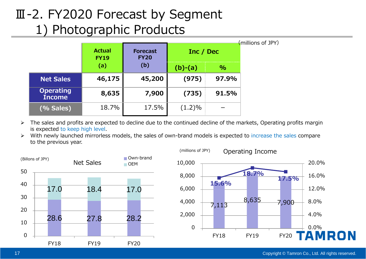# Ⅲ-2. FY2020 Forecast by Segment 1) Photographic Products

|                                   |                              |                                |           |       | (millions of JPY) |
|-----------------------------------|------------------------------|--------------------------------|-----------|-------|-------------------|
|                                   | <b>Actual</b><br><b>FY19</b> | <b>Forecast</b><br><b>FY20</b> | Inc / Dec |       |                   |
|                                   | (a)                          | (b)                            | $(b)-(a)$ | $\%$  |                   |
| <b>Net Sales</b>                  | 46,175                       | 45,200                         | (975)     | 97.9% |                   |
| <b>Operating</b><br><b>Income</b> | 8,635                        | 7,900                          | (735)     | 91.5% |                   |
| (% Sales)                         | 18.7%                        | 17.5%                          | $(1.2)\%$ |       |                   |

- $\blacktriangleright$  The sales and profits are expected to decline due to the continued decline of the markets, Operating profits margin is expected to keep high level.
- > With newly launched mirrorless models, the sales of own-brand models is expected to increase the sales compare to the previous year.



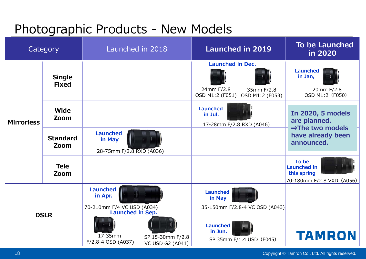### Photographic Products - New Models

|                   | Category                      | Launched in 2018                                                                                                                                                    | <b>Launched in 2019</b>                                                                                               | <b>To be Launched</b><br>in 2020                                        |
|-------------------|-------------------------------|---------------------------------------------------------------------------------------------------------------------------------------------------------------------|-----------------------------------------------------------------------------------------------------------------------|-------------------------------------------------------------------------|
|                   | <b>Single</b><br><b>Fixed</b> |                                                                                                                                                                     | <b>Launched in Dec.</b><br>24mm F/2.8<br>35mm F/2.8<br>OSD M1:2 (F051)<br>OSD M1:2 (F053)                             | <b>Launched</b><br>in Jan,<br>20mm F/2.8<br>OSD M1:2 (F050)             |
| <b>Mirrorless</b> | Wide<br>Zoom                  |                                                                                                                                                                     | <b>Launched</b><br>in Jul.<br>17-28mm F/2.8 RXD (A046)                                                                | In 2020, 5 models<br>are planned.<br>$\Rightarrow$ The two models       |
|                   | <b>Standard</b><br>Zoom       | <b>Launched</b><br>in May<br>28-75mm F/2.8 RXD (A036)                                                                                                               |                                                                                                                       | have already been<br>announced.                                         |
|                   | <b>Tele</b><br>Zoom           |                                                                                                                                                                     |                                                                                                                       | To be<br><b>Launched in</b><br>this spring<br>70-180mm F/2.8 VXD (A056) |
|                   | <b>DSLR</b>                   | <b>Launched</b><br>in Apr.<br>70-210mm F/4 VC USD (A034)<br><b>Launched in Sep.</b><br>17-35mm<br>SP 15-30mm F/2.8<br>F/2.8-4 OSD (A037)<br><b>VC USD G2 (A041)</b> | <b>Launched</b><br>in May<br>35-150mm F/2.8-4 VC OSD (A043)<br><b>Launched</b><br>in Jun.<br>SP 35mm F/1.4 USD (F045) | <b>TAMRON</b>                                                           |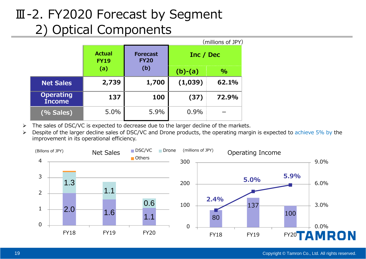# Ⅲ-2. FY2020 Forecast by Segment 2) Optical Components

|                                   |                              |                                |           | (millions of JPY) |  |
|-----------------------------------|------------------------------|--------------------------------|-----------|-------------------|--|
|                                   | <b>Actual</b><br><b>FY19</b> | <b>Forecast</b><br><b>FY20</b> | Inc / Dec |                   |  |
|                                   | (a)                          | (b)                            | $(b)-(a)$ | $\frac{0}{0}$     |  |
| <b>Net Sales</b>                  | 2,739                        | 1,700                          | (1,039)   | 62.1%             |  |
| <b>Operating</b><br><b>Income</b> | 137                          | 100                            | (37)      | 72.9%             |  |
| (% Sales)                         | 5.0%                         | 5.9%                           | 0.9%      |                   |  |

 $\blacktriangleright$ The sales of DSC/VC is expected to decrease due to the larger decline of the markets.

 $\blacktriangleright$ Despite of the larger decline sales of DSC/VC and Drone products, the operating margin is expected to achieve 5% by the improvement in its operational efficiency.

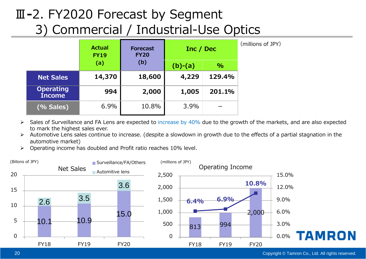# Ⅲ**-**2. FY2020 Forecast by Segment 3) Commercial / Industrial-Use Optics

|                                   | <b>Actual</b><br><b>FY19</b> | <b>Forecast</b><br><b>FY20</b> | Inc / Dec |               | (millions of JPY) |
|-----------------------------------|------------------------------|--------------------------------|-----------|---------------|-------------------|
|                                   | (a)                          | (b)                            | $(b)-(a)$ | $\frac{9}{6}$ |                   |
| <b>Net Sales</b>                  | 14,370                       | 18,600                         | 4,229     | 129.4%        |                   |
| <b>Operating</b><br><b>Income</b> | 994                          | 2,000                          | 1,005     | 201.1%        |                   |
| (% Sales)                         | 6.9%                         | 10.8%                          | 3.9%      |               |                   |

- $\blacktriangleright$ Sales of Surveillance and FA Lens are expected to increase by 40% due to the growth of the markets, and are also expected to mark the highest sales ever.
- $\blacktriangleright$  Automotive Lens sales continue to increase. (despite a slowdown in growth due to the effects of a partial stagnation in the automotive market)
- $\triangleright$ Operating income has doubled and Profit ratio reaches 10% level.



Copyright © Tamron Co., Ltd. All rights reserved.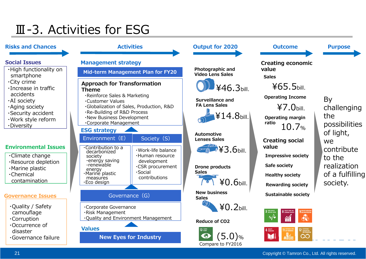# Ⅲ-3. Activities for ESG

#### **Social Issues Management strategy Theme**・Customer Values・Corporate Management **ESG strategy** Environment $(E)$ ・Contribution to a decarbonized society<br>-energy saving -renewable energy ・Marine plastic measures ・Eco design **Values**・Corporate Governance ・Risk Management ・High functionality on smartphone ・City crime ・Increase in traffic accidents・AI society ・Aging society ・Security accident ・Work style reform ・Diversity ・Climate change ・Resource depletion ・Marine plastic ・Chemical contamination ・Quality / Safety camouflage ・Corruption ・Occurrence of disaster・Governance failure**Environmental IssuesGovernance Issues**

#### **Activities Mid-term Management Plan for FY20 Approach for Transformation**  ・Reinforce Sales & Marketing ・Globalization of Sales, Production, R&D ・Re-Building of R&D Process ・New Business Development Society (S) ・Work-life balance・Human resource development ・CSR procurement ・Social **Sales** contributionsGovernance (G) **Sales** ・Quality and Environment Management  $13 \frac{m}{2}$ **New Eyes for Industry** Compare to FY2016



By challenging the possibilities of light, we contribute to the realization of a fulfilling society.

**Purpose**

#### Copyright © Tamron Co., Ltd. All rights reserved.

**Risks and Chances**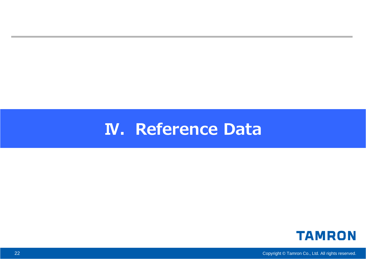# **N. Reference Data**



Copyright © Tamron Co., Ltd. All rights reserved.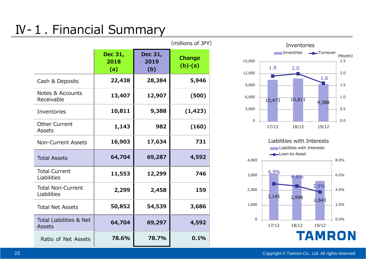# Ⅳ-1. Financial Summary

|                                                     | (millions of JPY)      |                        |                            |  |  |
|-----------------------------------------------------|------------------------|------------------------|----------------------------|--|--|
|                                                     | Dec 31,<br>2018<br>(a) | Dec 31,<br>2019<br>(b) | <b>Change</b><br>$(b)-(a)$ |  |  |
| Cash & Deposits                                     | 22,438                 | 28,384                 | 5,946                      |  |  |
| <b>Notes &amp; Accounts</b><br>Receivable           | 13,407                 | 12,907                 | (500)                      |  |  |
| Inventories                                         | 10,811                 | 9,388                  | (1, 423)                   |  |  |
| <b>Other Current</b><br><b>Assets</b>               | 1,143                  | 982                    | (160)                      |  |  |
| <b>Non-Current Assets</b>                           | 16,903                 | 17,634                 | 731                        |  |  |
| <b>Total Assets</b>                                 | 64,704                 | 69,287                 | 4,592                      |  |  |
| <b>Total Current</b><br>Liabilities                 | 11,553                 | 12,299                 | 746                        |  |  |
| <b>Total Non-Current</b><br>Liabilities             | 2,299                  | 2,458                  | 159                        |  |  |
| <b>Total Net Assets</b>                             | 50,852                 | 54,539                 | 3,686                      |  |  |
| <b>Total Liabilities &amp; Net</b><br><b>Assets</b> | 64,704                 | 69,297                 | 4,592                      |  |  |
| Ratio of Net Assets                                 | 78.6%                  | 78.7%                  | 0.1%                       |  |  |

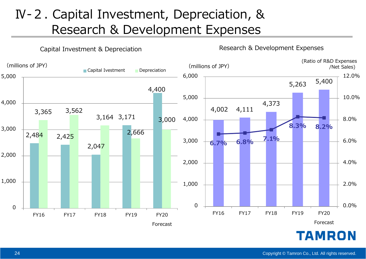### Ⅳ-2. Capital Investment, Depreciation, & Research & Development Expenses

Capital Investment & Depreciation

(Ratio of R&D Expenses)<br>(Met Sales) / Net Sales) (millions of JPY) /Net Sales)Capital Ivestment Depreciation 6,000 12.0%5,000 5,263 5,400 4,400 5,000 10.0%4,000 4,373 4,002 4,111 3,365 3,562 3,171 3,000 4,000 8.0%**8.3% 8.2%** 3,000 2,666 2,484 2,425 **6.8% 7.1%** 3,000 6.0%**6.7%**2,047 2,000 2,000 4.0%1,000 1,000 2.0%0.0% $\Omega$ 0FY16 FY17 FY18 FY19 FY20 FY16 FY17 FY18 FY19 FY20 Forecast Forecast**TAMRON** 

Research & Development Expenses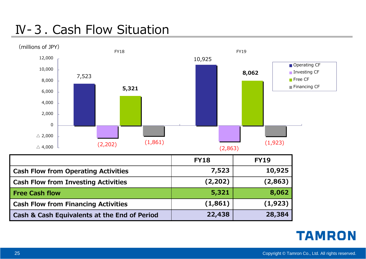### Ⅳ-3. Cash Flow Situation

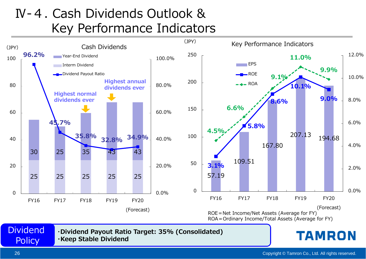## Ⅳ-4. Cash Dividends Outlook &Key Performance Indicators

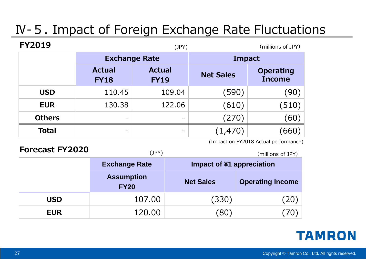# Ⅳ-5. Impact of Foreign Exchange Rate Fluctuations

| <b>FY2019</b> |                              | (JPY)                        |                  | (millions of JPY)                 |
|---------------|------------------------------|------------------------------|------------------|-----------------------------------|
|               | <b>Exchange Rate</b>         |                              | <b>Impact</b>    |                                   |
|               | <b>Actual</b><br><b>FY18</b> | <b>Actual</b><br><b>FY19</b> | <b>Net Sales</b> | <b>Operating</b><br><b>Income</b> |
| <b>USD</b>    | 110.45                       | 109.04                       | (590)            | (90)                              |
| <b>EUR</b>    | 130.38                       | 122.06                       | (610)            | (510)                             |
| <b>Others</b> | $\overline{\phantom{0}}$     |                              | (270)            | (60)                              |
| <b>Total</b>  | $\overline{\phantom{a}}$     |                              | (1,470)          | 660                               |

(Impact on FY2018 Actual performance)

| <b>Forecast FY2020</b> | (JPY)                            | (millions of JPY) |                           |  |
|------------------------|----------------------------------|-------------------|---------------------------|--|
|                        | <b>Exchange Rate</b>             |                   | Impact of ¥1 appreciation |  |
|                        | <b>Assumption</b><br><b>FY20</b> | <b>Net Sales</b>  | <b>Operating Income</b>   |  |
| <b>USD</b>             | 107.00                           | (330)             | (20)                      |  |
| <b>EUR</b>             | 120.00                           | (80)              | 70                        |  |